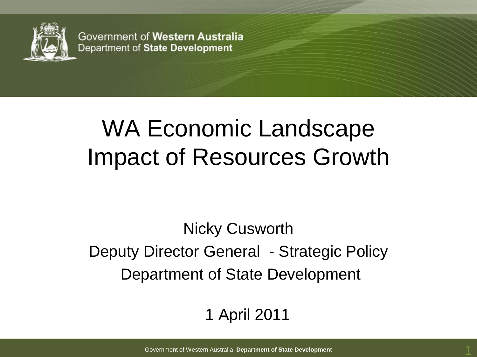

Government of Western Australia Department of State Development

# WA Economic Landscape Impact of Resources Growth

Nicky Cusworth Deputy Director General - Strategic Policy Department of State Development

#### 1 April 2011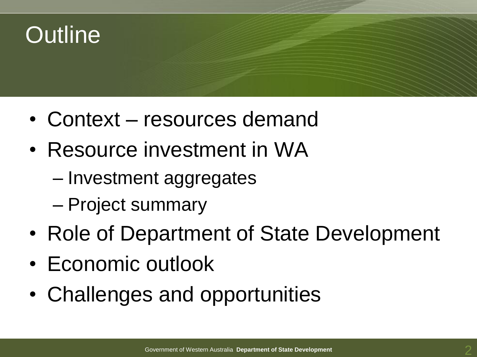## **Outline**

- Context resources demand
- Resource investment in WA
	- Investment aggregates
	- Project summary
- Role of Department of State Development
- Economic outlook
- Challenges and opportunities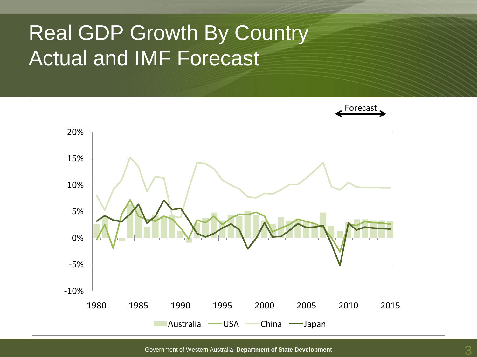#### Real GDP Growth By Country Actual and IMF Forecast

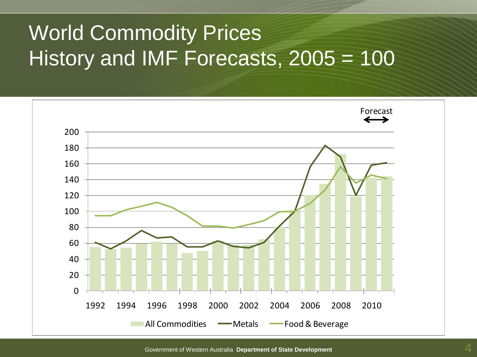### World Commodity Prices History and IMF Forecasts, 2005 = 100

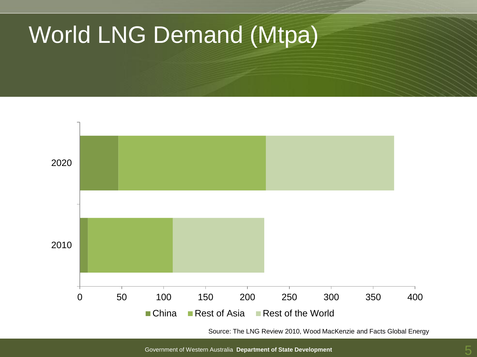## World LNG Demand (Mtpa)



Source: The LNG Review 2010, Wood MacKenzie and Facts Global Energy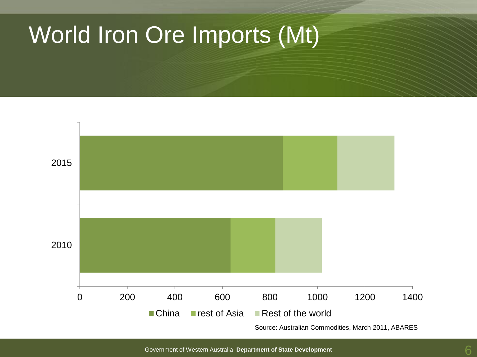## World Iron Ore Imports (Mt)

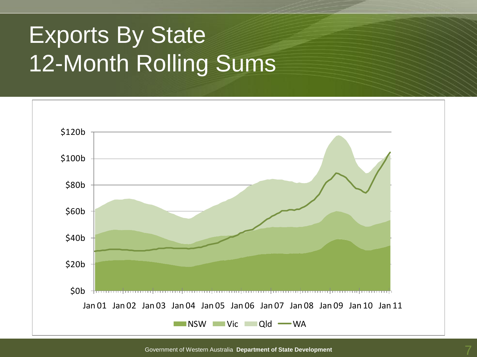# Exports By State 12-Month Rolling Sums

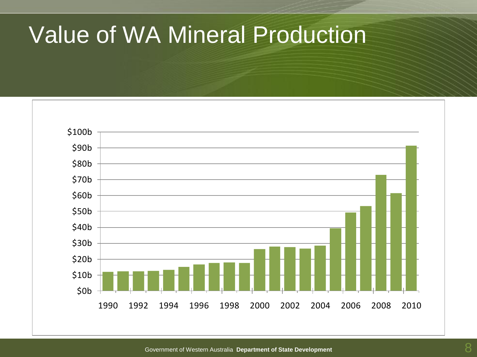### Value of WA Mineral Production

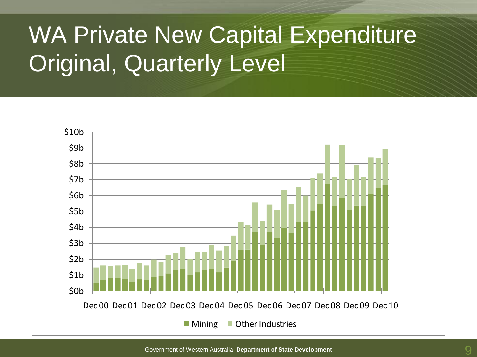# WA Private New Capital Expenditure Original, Quarterly Level

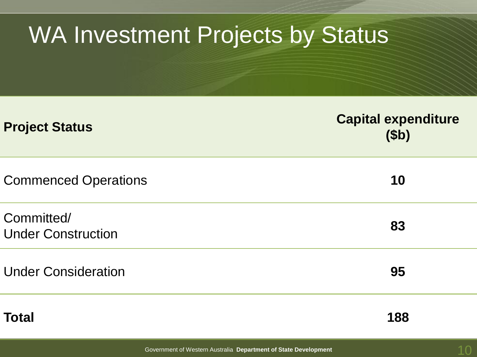| <b>WA Investment Projects by Status</b> |                                             |  |
|-----------------------------------------|---------------------------------------------|--|
| <b>Project Status</b>                   | <b>Capital expenditure</b><br>( <b>3b</b> ) |  |
| <b>Commenced Operations</b>             | 10                                          |  |
| Committed/<br><b>Under Construction</b> | 83                                          |  |
| <b>Under Consideration</b>              | 95                                          |  |
| Total                                   | 188                                         |  |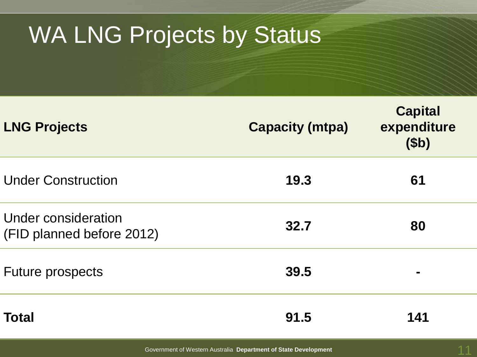# WA LNG Projects by Status

| <b>LNG Projects</b>                              | <b>Capacity (mtpa)</b> | <b>Capital</b><br>expenditure<br>\$ <sub>b</sub> |
|--------------------------------------------------|------------------------|--------------------------------------------------|
| <b>Under Construction</b>                        | 19.3                   | 61                                               |
| Under consideration<br>(FID planned before 2012) | 32.7                   | 80                                               |
| <b>Future prospects</b>                          | 39.5                   |                                                  |
| <b>Total</b>                                     | 91.5                   | 141                                              |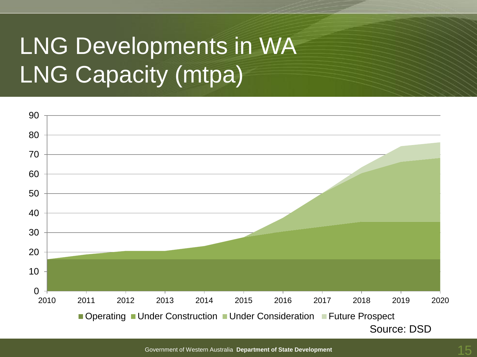# LNG Developments in WA LNG Capacity (mtpa)

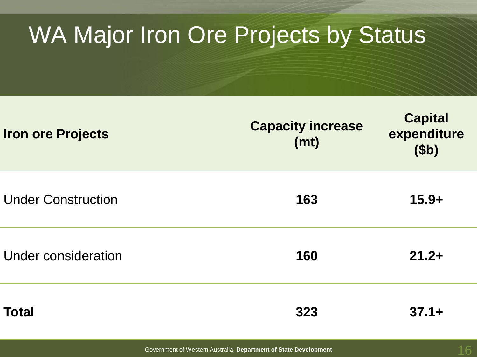# WA Major Iron Ore Projects by Status

| <b>Iron ore Projects</b>  | <b>Capacity increase</b><br>(mt) | <b>Capital</b><br>expenditure<br>( <b>3b</b> ) |
|---------------------------|----------------------------------|------------------------------------------------|
| <b>Under Construction</b> | 163                              | $15.9+$                                        |
| Under consideration       | 160                              | $21.2+$                                        |
| <b>Total</b>              | 323                              | $37.1+$                                        |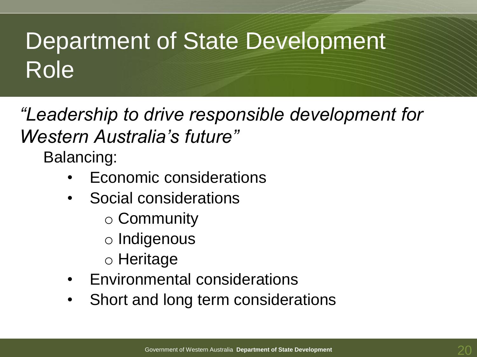# Department of State Development Role

*"Leadership to drive responsible development for Western Australia's future"*

Balancing:

- Economic considerations
- Social considerations
	- o Community
	- o Indigenous
	- o Heritage
- Environmental considerations
- Short and long term considerations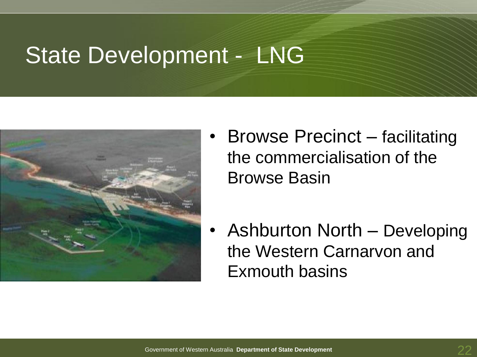### State Development - LNG



- Browse Precinct facilitating the commercialisation of the Browse Basin
- Ashburton North Developing the Western Carnarvon and Exmouth basins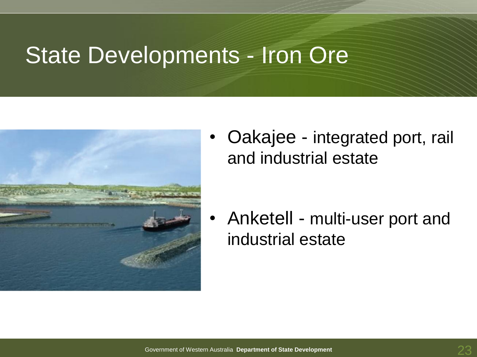#### State Developments - Iron Ore



• Oakajee - integrated port, rail and industrial estate

• Anketell - multi-user port and industrial estate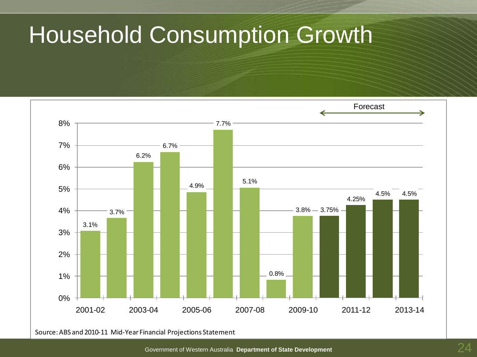# Household Consumption Growth

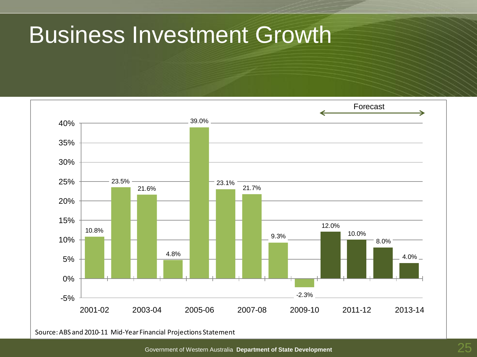### Business Investment Growth

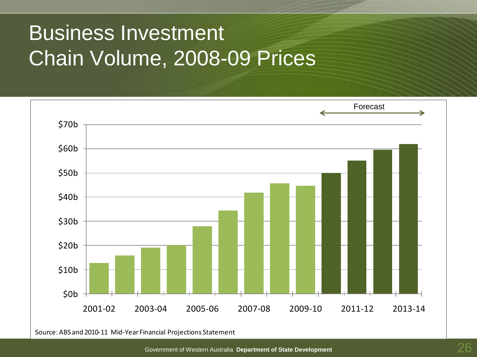#### Business Investment Chain Volume, 2008-09 Prices

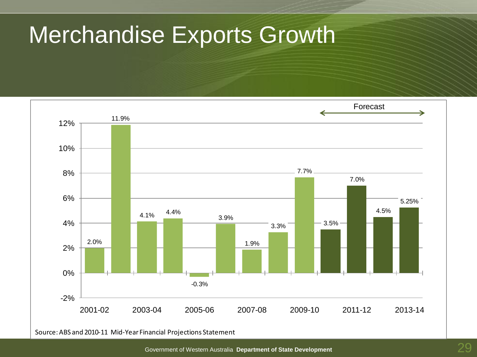## Merchandise Exports Growth

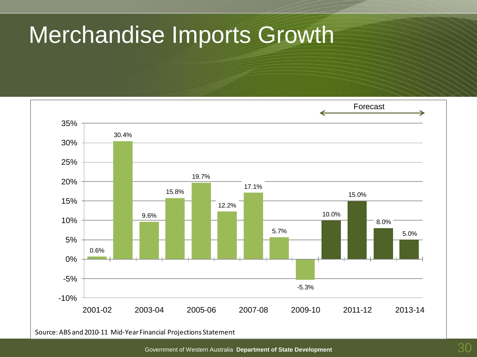### Merchandise Imports Growth

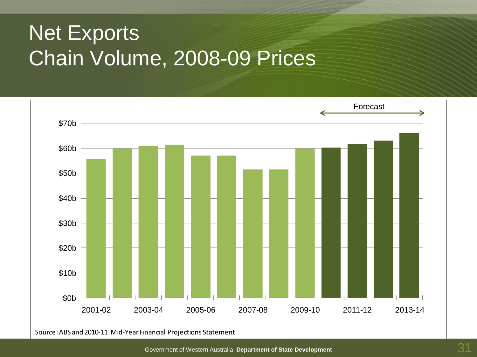#### Net Exports Chain Volume, 2008-09 Prices

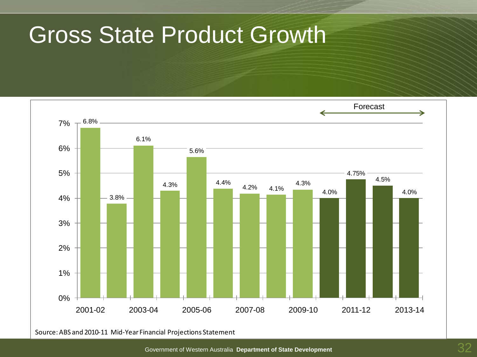### Gross State Product Growth

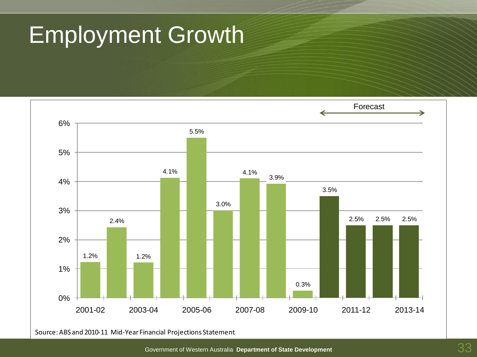# Employment Growth

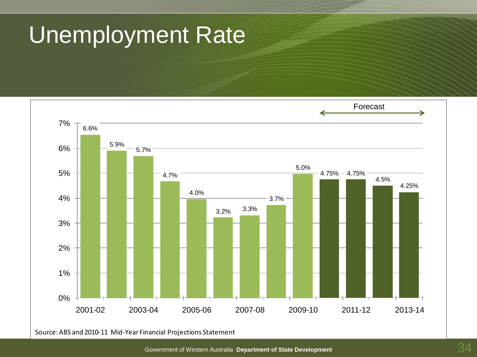# Unemployment Rate

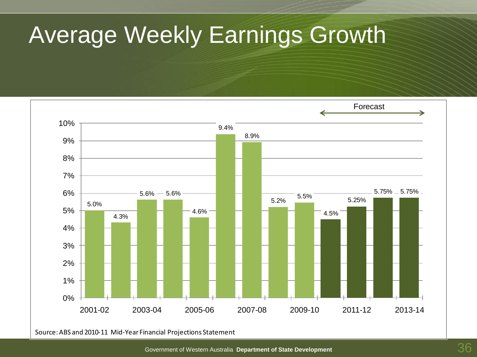# Average Weekly Earnings Growth

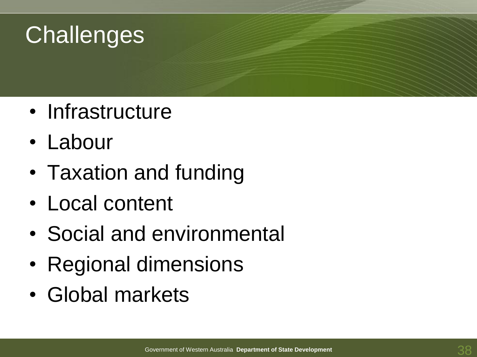# **Challenges**

- Infrastructure
- Labour
- Taxation and funding
- Local content
- Social and environmental
- Regional dimensions
- Global markets